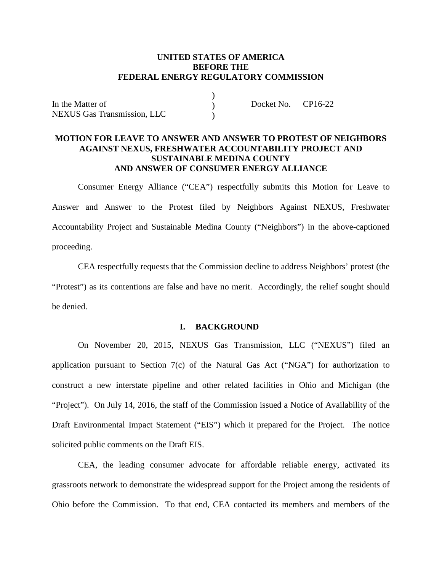## **UNITED STATES OF AMERICA BEFORE THE FEDERAL ENERGY REGULATORY COMMISSION**

)  $\mathcal{L}$  $\lambda$ 

In the Matter of NEXUS Gas Transmission, LLC Docket No. CP16-22

### **MOTION FOR LEAVE TO ANSWER AND ANSWER TO PROTEST OF NEIGHBORS AGAINST NEXUS, FRESHWATER ACCOUNTABILITY PROJECT AND SUSTAINABLE MEDINA COUNTY AND ANSWER OF CONSUMER ENERGY ALLIANCE**

Consumer Energy Alliance ("CEA") respectfully submits this Motion for Leave to Answer and Answer to the Protest filed by Neighbors Against NEXUS, Freshwater Accountability Project and Sustainable Medina County ("Neighbors") in the above-captioned proceeding.

CEA respectfully requests that the Commission decline to address Neighbors' protest (the "Protest") as its contentions are false and have no merit. Accordingly, the relief sought should be denied.

### **I. BACKGROUND**

On November 20, 2015, NEXUS Gas Transmission, LLC ("NEXUS") filed an application pursuant to Section 7(c) of the Natural Gas Act ("NGA") for authorization to construct a new interstate pipeline and other related facilities in Ohio and Michigan (the "Project"). On July 14, 2016, the staff of the Commission issued a Notice of Availability of the Draft Environmental Impact Statement ("EIS") which it prepared for the Project. The notice solicited public comments on the Draft EIS.

CEA, the leading consumer advocate for affordable reliable energy, activated its grassroots network to demonstrate the widespread support for the Project among the residents of Ohio before the Commission. To that end, CEA contacted its members and members of the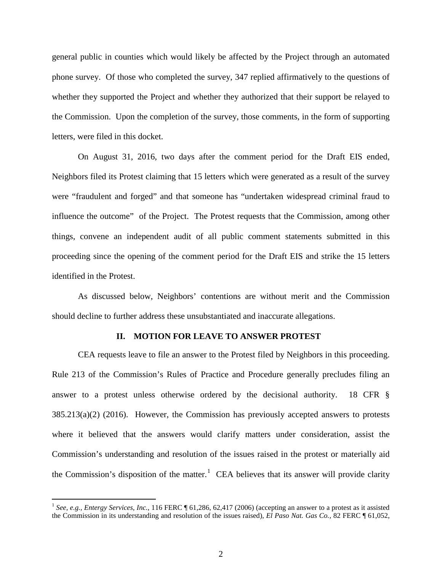general public in counties which would likely be affected by the Project through an automated phone survey. Of those who completed the survey, 347 replied affirmatively to the questions of whether they supported the Project and whether they authorized that their support be relayed to the Commission. Upon the completion of the survey, those comments, in the form of supporting letters, were filed in this docket.

On August 31, 2016, two days after the comment period for the Draft EIS ended, Neighbors filed its Protest claiming that 15 letters which were generated as a result of the survey were "fraudulent and forged" and that someone has "undertaken widespread criminal fraud to influence the outcome" of the Project. The Protest requests that the Commission, among other things, convene an independent audit of all public comment statements submitted in this proceeding since the opening of the comment period for the Draft EIS and strike the 15 letters identified in the Protest.

As discussed below, Neighbors' contentions are without merit and the Commission should decline to further address these unsubstantiated and inaccurate allegations.

#### **II. MOTION FOR LEAVE TO ANSWER PROTEST**

CEA requests leave to file an answer to the Protest filed by Neighbors in this proceeding. Rule 213 of the Commission's Rules of Practice and Procedure generally precludes filing an answer to a protest unless otherwise ordered by the decisional authority. 18 CFR § 385.213(a)(2) (2016). However, the Commission has previously accepted answers to protests where it believed that the answers would clarify matters under consideration, assist the Commission's understanding and resolution of the issues raised in the protest or materially aid the Commission's disposition of the matter.<sup>[1](#page-1-0)</sup> CEA believes that its answer will provide clarity

<span id="page-1-0"></span> <sup>1</sup> *See, e.g., Entergy Services, Inc.*, 116 FERC ¶ 61,286, 62,417 (2006) (accepting an answer to a protest as it assisted the Commission in its understanding and resolution of the issues raised), *El Paso Nat. Gas Co.,* 82 FERC ¶ 61,052,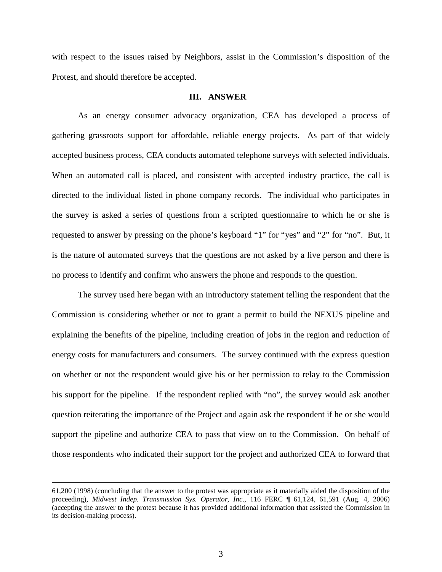with respect to the issues raised by Neighbors, assist in the Commission's disposition of the Protest, and should therefore be accepted.

### **III. ANSWER**

As an energy consumer advocacy organization, CEA has developed a process of gathering grassroots support for affordable, reliable energy projects. As part of that widely accepted business process, CEA conducts automated telephone surveys with selected individuals. When an automated call is placed, and consistent with accepted industry practice, the call is directed to the individual listed in phone company records. The individual who participates in the survey is asked a series of questions from a scripted questionnaire to which he or she is requested to answer by pressing on the phone's keyboard "1" for "yes" and "2" for "no". But, it is the nature of automated surveys that the questions are not asked by a live person and there is no process to identify and confirm who answers the phone and responds to the question.

The survey used here began with an introductory statement telling the respondent that the Commission is considering whether or not to grant a permit to build the NEXUS pipeline and explaining the benefits of the pipeline, including creation of jobs in the region and reduction of energy costs for manufacturers and consumers. The survey continued with the express question on whether or not the respondent would give his or her permission to relay to the Commission his support for the pipeline. If the respondent replied with "no", the survey would ask another question reiterating the importance of the Project and again ask the respondent if he or she would support the pipeline and authorize CEA to pass that view on to the Commission. On behalf of those respondents who indicated their support for the project and authorized CEA to forward that

 $\overline{a}$ 

<sup>61,200 (1998) (</sup>concluding that the answer to the protest was appropriate as it materially aided the disposition of the proceeding), *Midwest Indep. Transmission Sys. Operator, Inc*., 116 FERC ¶ 61,124, 61,591 (Aug. 4, 2006) (accepting the answer to the protest because it has provided additional information that assisted the Commission in its decision-making process).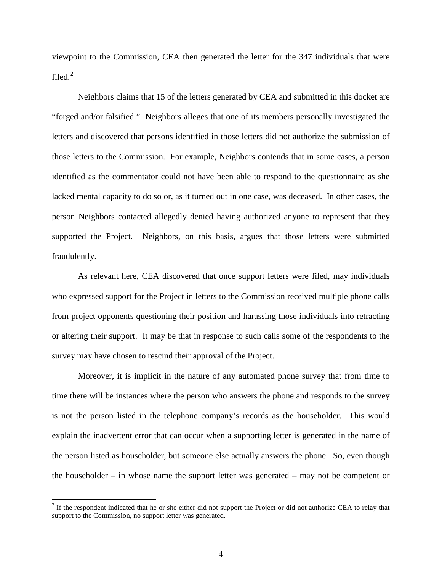viewpoint to the Commission, CEA then generated the letter for the 347 individuals that were filed. [2](#page-3-0)

Neighbors claims that 15 of the letters generated by CEA and submitted in this docket are "forged and/or falsified." Neighbors alleges that one of its members personally investigated the letters and discovered that persons identified in those letters did not authorize the submission of those letters to the Commission. For example, Neighbors contends that in some cases, a person identified as the commentator could not have been able to respond to the questionnaire as she lacked mental capacity to do so or, as it turned out in one case, was deceased. In other cases, the person Neighbors contacted allegedly denied having authorized anyone to represent that they supported the Project. Neighbors, on this basis, argues that those letters were submitted fraudulently.

As relevant here, CEA discovered that once support letters were filed, may individuals who expressed support for the Project in letters to the Commission received multiple phone calls from project opponents questioning their position and harassing those individuals into retracting or altering their support. It may be that in response to such calls some of the respondents to the survey may have chosen to rescind their approval of the Project.

Moreover, it is implicit in the nature of any automated phone survey that from time to time there will be instances where the person who answers the phone and responds to the survey is not the person listed in the telephone company's records as the householder. This would explain the inadvertent error that can occur when a supporting letter is generated in the name of the person listed as householder, but someone else actually answers the phone. So, even though the householder – in whose name the support letter was generated – may not be competent or

<span id="page-3-0"></span> $2<sup>2</sup>$  If the respondent indicated that he or she either did not support the Project or did not authorize CEA to relay that support to the Commission, no support letter was generated.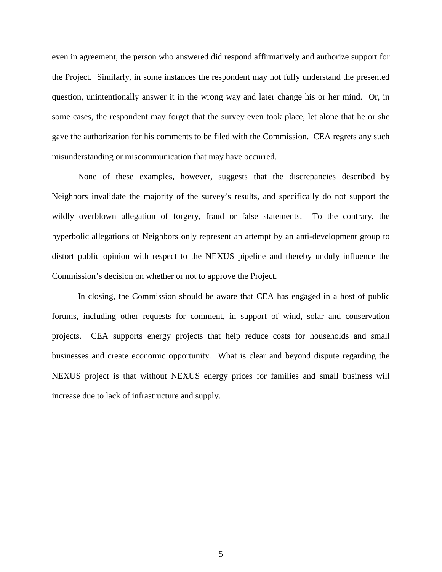even in agreement, the person who answered did respond affirmatively and authorize support for the Project. Similarly, in some instances the respondent may not fully understand the presented question, unintentionally answer it in the wrong way and later change his or her mind. Or, in some cases, the respondent may forget that the survey even took place, let alone that he or she gave the authorization for his comments to be filed with the Commission. CEA regrets any such misunderstanding or miscommunication that may have occurred.

None of these examples, however, suggests that the discrepancies described by Neighbors invalidate the majority of the survey's results, and specifically do not support the wildly overblown allegation of forgery, fraud or false statements. To the contrary, the hyperbolic allegations of Neighbors only represent an attempt by an anti-development group to distort public opinion with respect to the NEXUS pipeline and thereby unduly influence the Commission's decision on whether or not to approve the Project.

In closing, the Commission should be aware that CEA has engaged in a host of public forums, including other requests for comment, in support of wind, solar and conservation projects. CEA supports energy projects that help reduce costs for households and small businesses and create economic opportunity. What is clear and beyond dispute regarding the NEXUS project is that without NEXUS energy prices for families and small business will increase due to lack of infrastructure and supply.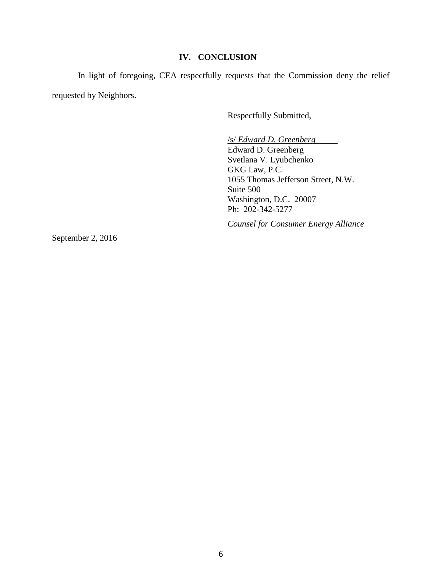### **IV. CONCLUSION**

In light of foregoing, CEA respectfully requests that the Commission deny the relief requested by Neighbors.

Respectfully Submitted,

/s/ *Edward D. Greenberg*

Edward D. Greenberg Svetlana V. Lyubchenko GKG Law, P.C. 1055 Thomas Jefferson Street, N.W. Suite 500 Washington, D.C. 20007 Ph: 202-342-5277

*Counsel for Consumer Energy Alliance*

September 2, 2016